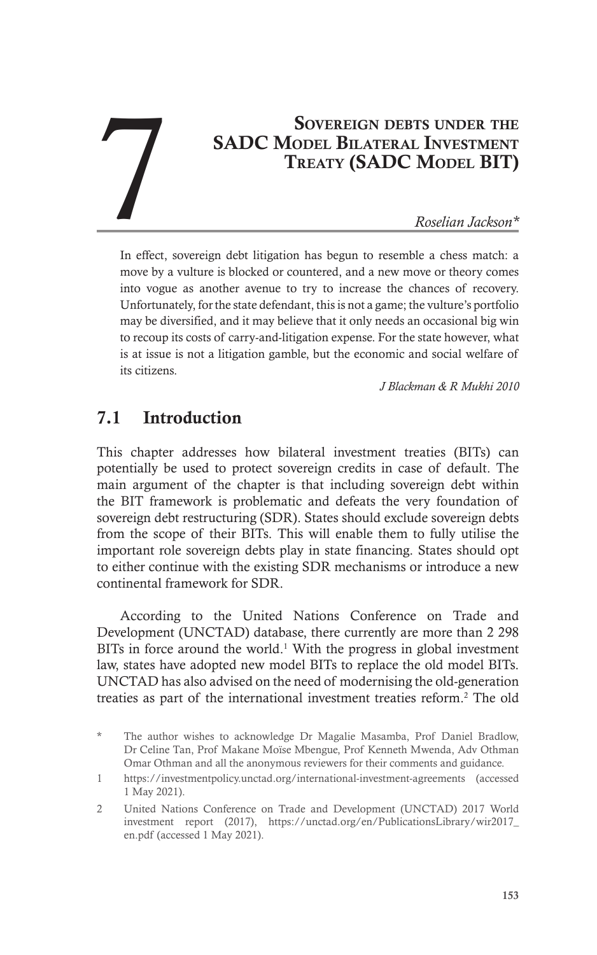# SOVEREIGN DEBTS UNDER THE SADC Model Bilateral Investment Treaty (SADC Model BIT) **SOVEREIGN DEBTS UNDER THE<br>
SADC MODEL BILATERAL INVESTMENT<br>
TREATY (SADC MODEL BIT)**<br>
Roselian Jackson\*

In effect, sovereign debt litigation has begun to resemble a chess match: a move by a vulture is blocked or countered, and a new move or theory comes into vogue as another avenue to try to increase the chances of recovery. Unfortunately, for the state defendant, this is not a game; the vulture's portfolio may be diversified, and it may believe that it only needs an occasional big win to recoup its costs of carry-and-litigation expense. For the state however, what is at issue is not a litigation gamble, but the economic and social welfare of its citizens.

*J Blackman & R Mukhi 2010*

## 7.1 Introduction

This chapter addresses how bilateral investment treaties (BITs) can potentially be used to protect sovereign credits in case of default. The main argument of the chapter is that including sovereign debt within the BIT framework is problematic and defeats the very foundation of sovereign debt restructuring (SDR). States should exclude sovereign debts from the scope of their BITs. This will enable them to fully utilise the important role sovereign debts play in state financing. States should opt to either continue with the existing SDR mechanisms or introduce a new continental framework for SDR.

According to the United Nations Conference on Trade and Development (UNCTAD) database, there currently are more than 2 298 BITs in force around the world. $<sup>1</sup>$  With the progress in global investment</sup> law, states have adopted new model BITs to replace the old model BITs. UNCTAD has also advised on the need of modernising the old-generation treaties as part of the international investment treaties reform.2 The old

The author wishes to acknowledge Dr Magalie Masamba, Prof Daniel Bradlow, Dr Celine Tan, Prof Makane Moïse Mbengue, Prof Kenneth Mwenda, Adv Othman Omar Othman and all the anonymous reviewers for their comments and guidance.

<sup>1</sup> https://investmentpolicy.unctad.org/international-investment-agreements (accessed 1 May 2021).

<sup>2</sup> United Nations Conference on Trade and Development (UNCTAD) 2017 World investment report (2017), https://unctad.org/en/PublicationsLibrary/wir2017\_ en.pdf (accessed 1 May 2021).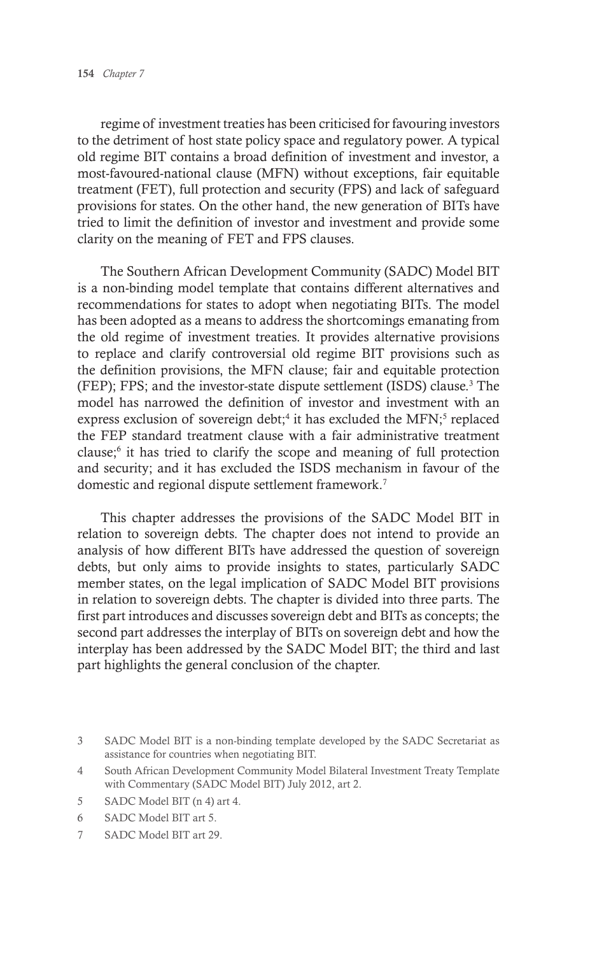regime of investment treaties has been criticised for favouring investors to the detriment of host state policy space and regulatory power. A typical old regime BIT contains a broad definition of investment and investor, a most-favoured-national clause (MFN) without exceptions, fair equitable treatment (FET), full protection and security (FPS) and lack of safeguard provisions for states. On the other hand, the new generation of BITs have tried to limit the definition of investor and investment and provide some clarity on the meaning of FET and FPS clauses.

The Southern African Development Community (SADC) Model BIT is a non-binding model template that contains different alternatives and recommendations for states to adopt when negotiating BITs. The model has been adopted as a means to address the shortcomings emanating from the old regime of investment treaties. It provides alternative provisions to replace and clarify controversial old regime BIT provisions such as the definition provisions, the MFN clause; fair and equitable protection (FEP); FPS; and the investor-state dispute settlement (ISDS) clause.3 The model has narrowed the definition of investor and investment with an express exclusion of sovereign debt;<sup>4</sup> it has excluded the MFN;<sup>5</sup> replaced the FEP standard treatment clause with a fair administrative treatment clause;<sup>6</sup> it has tried to clarify the scope and meaning of full protection and security; and it has excluded the ISDS mechanism in favour of the domestic and regional dispute settlement framework.7

This chapter addresses the provisions of the SADC Model BIT in relation to sovereign debts. The chapter does not intend to provide an analysis of how different BITs have addressed the question of sovereign debts, but only aims to provide insights to states, particularly SADC member states, on the legal implication of SADC Model BIT provisions in relation to sovereign debts. The chapter is divided into three parts. The first part introduces and discusses sovereign debt and BITs as concepts; the second part addresses the interplay of BITs on sovereign debt and how the interplay has been addressed by the SADC Model BIT; the third and last part highlights the general conclusion of the chapter.

- 5 SADC Model BIT (n 4) art 4.
- 6 SADC Model BIT art 5.
- 7 SADC Model BIT art 29.

<sup>3</sup> SADC Model BIT is a non-binding template developed by the SADC Secretariat as assistance for countries when negotiating BIT.

<sup>4</sup> South African Development Community Model Bilateral Investment Treaty Template with Commentary (SADC Model BIT) July 2012, art 2.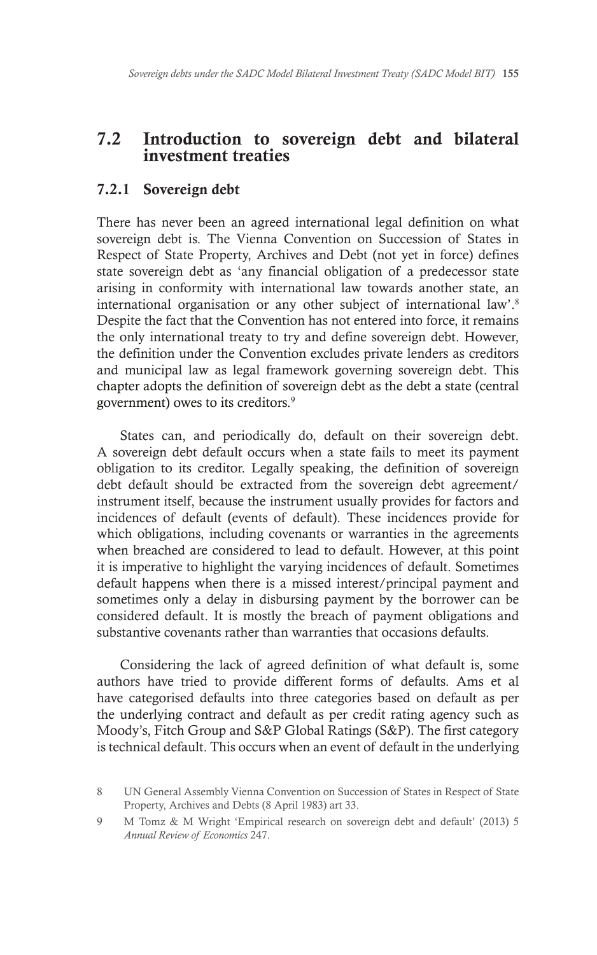#### 7.2 Introduction to sovereign debt and bilateral investment treaties

#### 7.2.1 Sovereign debt

There has never been an agreed international legal definition on what sovereign debt is. The Vienna Convention on Succession of States in Respect of State Property, Archives and Debt (not yet in force) defines state sovereign debt as 'any financial obligation of a predecessor state arising in conformity with international law towards another state, an international organisation or any other subject of international law'.8 Despite the fact that the Convention has not entered into force, it remains the only international treaty to try and define sovereign debt. However, the definition under the Convention excludes private lenders as creditors and municipal law as legal framework governing sovereign debt. This chapter adopts the definition of sovereign debt as the debt a state (central government) owes to its creditors.9

States can, and periodically do, default on their sovereign debt. A sovereign debt default occurs when a state fails to meet its payment obligation to its creditor. Legally speaking, the definition of sovereign debt default should be extracted from the sovereign debt agreement/ instrument itself, because the instrument usually provides for factors and incidences of default (events of default). These incidences provide for which obligations, including covenants or warranties in the agreements when breached are considered to lead to default. However, at this point it is imperative to highlight the varying incidences of default. Sometimes default happens when there is a missed interest/principal payment and sometimes only a delay in disbursing payment by the borrower can be considered default. It is mostly the breach of payment obligations and substantive covenants rather than warranties that occasions defaults.

Considering the lack of agreed definition of what default is, some authors have tried to provide different forms of defaults. Ams et al have categorised defaults into three categories based on default as per the underlying contract and default as per credit rating agency such as Moody's, Fitch Group and S&P Global Ratings (S&P). The first category is technical default. This occurs when an event of default in the underlying

<sup>8</sup> UN General Assembly Vienna Convention on Succession of States in Respect of State Property, Archives and Debts (8 April 1983) art 33.

<sup>9</sup> M Tomz & M Wright 'Empirical research on sovereign debt and default' (2013) 5 *Annual Review of Economics* 247.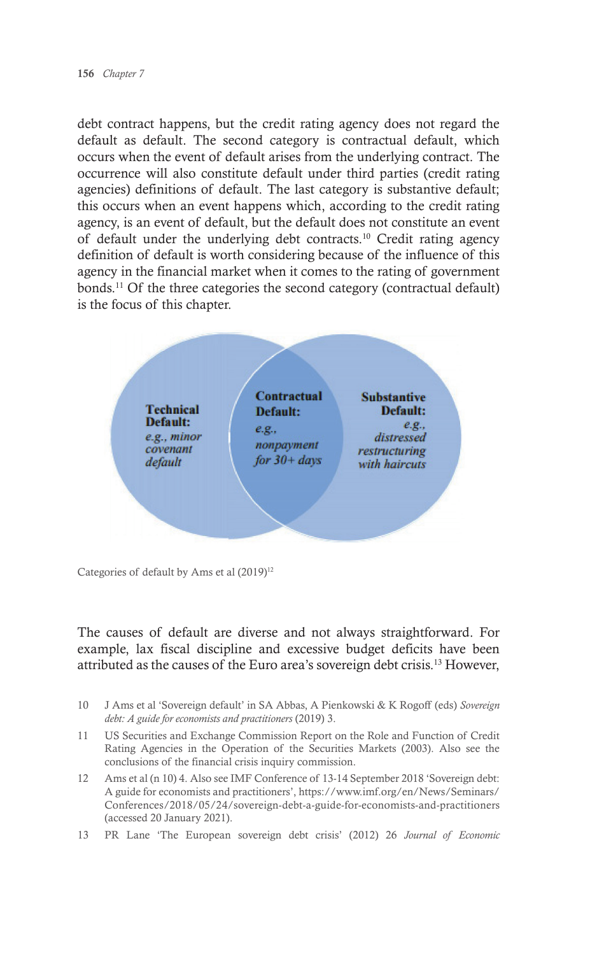debt contract happens, but the credit rating agency does not regard the default as default. The second category is contractual default, which occurs when the event of default arises from the underlying contract. The occurrence will also constitute default under third parties (credit rating agencies) definitions of default. The last category is substantive default; this occurs when an event happens which, according to the credit rating agency, is an event of default, but the default does not constitute an event of default under the underlying debt contracts.10 Credit rating agency definition of default is worth considering because of the influence of this agency in the financial market when it comes to the rating of government bonds.<sup>11</sup> Of the three categories the second category (contractual default) is the focus of this chapter.



Categories of default by Ams et al  $(2019)^{12}$ 

The causes of default are diverse and not always straightforward. For example, lax fiscal discipline and excessive budget deficits have been attributed as the causes of the Euro area's sovereign debt crisis.13 However,

- 10 J Ams et al 'Sovereign default' in SA Abbas, A Pienkowski & K Rogoff (eds) *Sovereign debt: A guide for economists and practitioners* (2019) 3.
- 11 US Securities and Exchange Commission Report on the Role and Function of Credit Rating Agencies in the Operation of the Securities Markets (2003). Also see the conclusions of the financial crisis inquiry commission.
- 12 Ams et al (n 10) 4. Also see IMF Conference of 13-14 September 2018 'Sovereign debt: A guide for economists and practitioners', https://www.imf.org/en/News/Seminars/ Conferences/2018/05/24/sovereign-debt-a-guide-for-economists-and-practitioners (accessed 20 January 2021).
- 13 PR Lane 'The European sovereign debt crisis' (2012) 26 *Journal of Economic*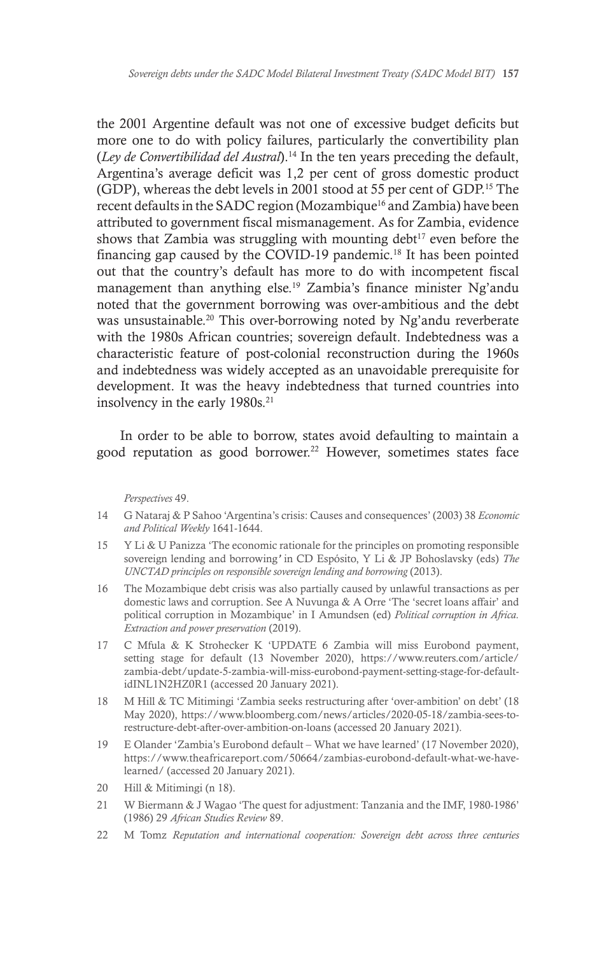the 2001 Argentine default was not one of excessive budget deficits but more one to do with policy failures, particularly the convertibility plan (*Ley de Convertibilidad del Austral*).14 In the ten years preceding the default, Argentina's average deficit was 1,2 per cent of gross domestic product (GDP), whereas the debt levels in 2001 stood at 55 per cent of GDP.15 The recent defaults in the SADC region (Mozambique<sup>16</sup> and Zambia) have been attributed to government fiscal mismanagement. As for Zambia, evidence shows that Zambia was struggling with mounting debt<sup>17</sup> even before the financing gap caused by the COVID-19 pandemic.18 It has been pointed out that the country's default has more to do with incompetent fiscal management than anything else.19 Zambia's finance minister Ng'andu noted that the government borrowing was over-ambitious and the debt was unsustainable.20 This over-borrowing noted by Ng'andu reverberate with the 1980s African countries; sovereign default. Indebtedness was a characteristic feature of post-colonial reconstruction during the 1960s and indebtedness was widely accepted as an unavoidable prerequisite for development. It was the heavy indebtedness that turned countries into insolvency in the early 1980s.<sup>21</sup>

In order to be able to borrow, states avoid defaulting to maintain a good reputation as good borrower.<sup>22</sup> However, sometimes states face

*Perspectives* 49.

- 14 G Nataraj & P Sahoo 'Argentina's crisis: Causes and consequences' (2003) 38 *Economic and Political Weekly* 1641-1644.
- 15 Y Li & U Panizza 'The economic rationale for the principles on promoting responsible sovereign lending and borrowing*'* in CD Espósito, Y Li & JP Bohoslavsky (eds) *The UNCTAD principles on responsible sovereign lending and borrowing* (2013).
- 16 The Mozambique debt crisis was also partially caused by unlawful transactions as per domestic laws and corruption. See A Nuvunga & A Orre 'The 'secret loans affair' and political corruption in Mozambique' in I Amundsen (ed) *Political corruption in Africa. Extraction and power preservation* (2019).
- 17 C Mfula & K Strohecker K 'UPDATE 6 Zambia will miss Eurobond payment, setting stage for default (13 November 2020), https://www.reuters.com/article/ zambia-debt/update-5-zambia-will-miss-eurobond-payment-setting-stage-for-defaultidINL1N2HZ0R1 (accessed 20 January 2021).
- 18 M Hill & TC Mitimingi 'Zambia seeks restructuring after 'over-ambition' on debt' (18 May 2020), https://www.bloomberg.com/news/articles/2020-05-18/zambia-sees-torestructure-debt-after-over-ambition-on-loans (accessed 20 January 2021).
- 19 E Olander 'Zambia's Eurobond default What we have learned' (17 November 2020), https://www.theafricareport.com/50664/zambias-eurobond-default-what-we-havelearned/ (accessed 20 January 2021).
- 20 Hill & Mitimingi (n 18).
- 21 W Biermann & J Wagao 'The quest for adjustment: Tanzania and the IMF, 1980-1986' (1986) 29 *African Studies Review* 89.
- 22 M Tomz *Reputation and international cooperation: Sovereign debt across three centuries*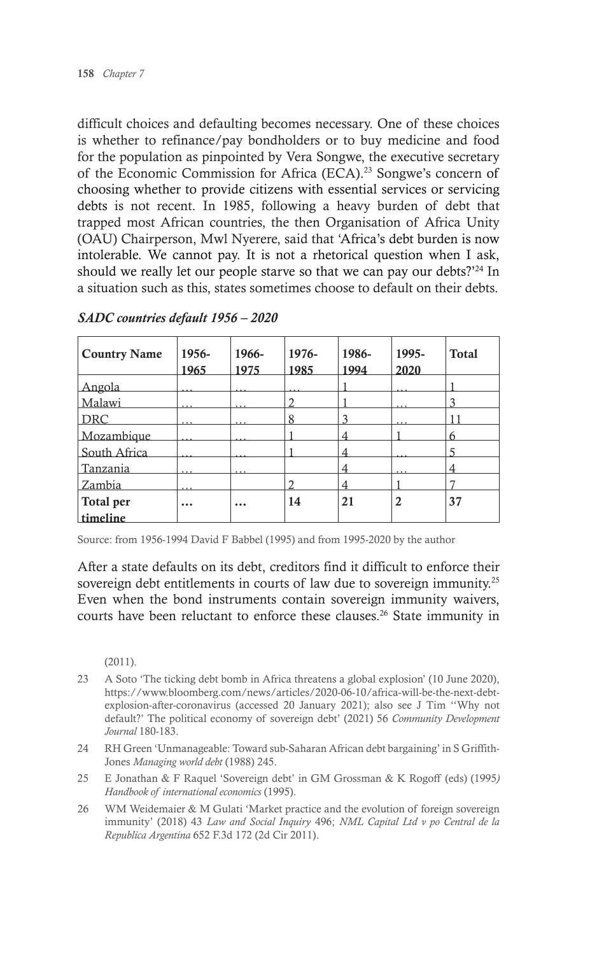difficult choices and defaulting becomes necessary. One of these choices is whether to refinance/pay bondholders or to buy medicine and food for the population as pinpointed by Vera Songwe, the executive secretary of the Economic Commission for Africa (ECA).23 Songwe's concern of choosing whether to provide citizens with essential services or servicing debts is not recent. In 1985, following a heavy burden of debt that trapped most African countries, the then Organisation of Africa Unity (OAU) Chairperson, Mwl Nyerere, said that 'Africa's debt burden is now intolerable. We cannot pay. It is not a rhetorical question when I ask, should we really let our people starve so that we can pay our debts?'<sup>24</sup> In a situation such as this, states sometimes choose to default on their debts.

| <b>Country Name</b> | 1956-<br>1965 | 1966-<br>1975 | 1976-<br>1985 | 1986-<br>1994 | 1995-<br>2020 | <b>Total</b> |
|---------------------|---------------|---------------|---------------|---------------|---------------|--------------|
| Angola              |               |               |               |               |               |              |
| Malawi              |               |               |               |               |               |              |
| <b>DRC</b>          |               |               | 8             |               |               |              |
| Mozambique          |               |               |               |               |               | 6            |
| South Africa        |               |               |               |               |               |              |
| Tanzania            |               |               |               |               |               |              |
| Zambia              |               |               |               |               |               |              |
| Total per           |               | $\cdots$      | 14            | 21            | 2             | 37           |
| timeline            |               |               |               |               |               |              |

#### *SADC countries default 1956 – 2020*

Source: from 1956-1994 David F Babbel (1995) and from 1995-2020 by the author

After a state defaults on its debt, creditors find it difficult to enforce their sovereign debt entitlements in courts of law due to sovereign immunity.<sup>25</sup> Even when the bond instruments contain sovereign immunity waivers, courts have been reluctant to enforce these clauses.<sup>26</sup> State immunity in

(2011).

- 23 A Soto 'The ticking debt bomb in Africa threatens a global explosion' (10 June 2020), https://www.bloomberg.com/news/articles/2020-06-10/africa-will-be-the-next-debtexplosion-after-coronavirus (accessed 20 January 2021); also see J Tim ''Why not default?' The political economy of sovereign debt' (2021) 56 *Community Development Journal* 180-183.
- 24 RH Green 'Unmanageable: Toward sub-Saharan African debt bargaining' in S Griffith-Jones *Managing world debt* (1988) 245.
- 25 E Jonathan & F Raquel 'Sovereign debt' in GM Grossman & K Rogoff (eds) (1995*) Handbook of international economics* (1995).
- 26 WM Weidemaier & M Gulati 'Market practice and the evolution of foreign sovereign immunity' (2018) 43 *Law and Social Inquiry* 496; *NML Capital Ltd v po Central de la Republica Argentina* 652 F.3d 172 (2d Cir 2011).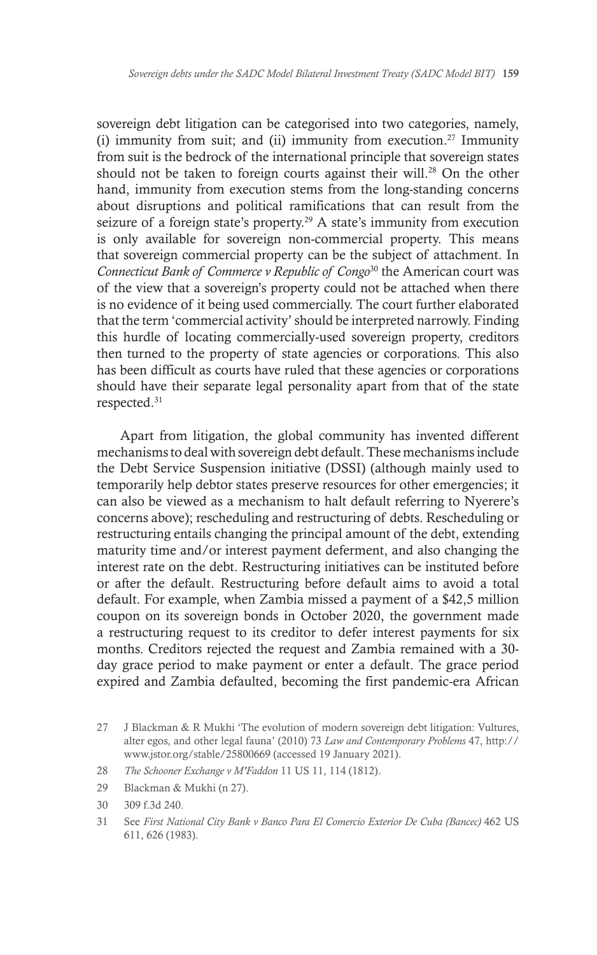sovereign debt litigation can be categorised into two categories, namely, (i) immunity from suit; and (ii) immunity from execution.<sup>27</sup> Immunity from suit is the bedrock of the international principle that sovereign states should not be taken to foreign courts against their will.<sup>28</sup> On the other hand, immunity from execution stems from the long-standing concerns about disruptions and political ramifications that can result from the seizure of a foreign state's property.<sup>29</sup> A state's immunity from execution is only available for sovereign non-commercial property. This means that sovereign commercial property can be the subject of attachment. In *Connecticut Bank of Commerce v Republic of Congo*30 the American court was of the view that a sovereign's property could not be attached when there is no evidence of it being used commercially. The court further elaborated that the term 'commercial activity' should be interpreted narrowly. Finding this hurdle of locating commercially-used sovereign property, creditors then turned to the property of state agencies or corporations. This also has been difficult as courts have ruled that these agencies or corporations should have their separate legal personality apart from that of the state respected.31

Apart from litigation, the global community has invented different mechanisms to deal with sovereign debt default. These mechanisms include the Debt Service Suspension initiative (DSSI) (although mainly used to temporarily help debtor states preserve resources for other emergencies; it can also be viewed as a mechanism to halt default referring to Nyerere's concerns above); rescheduling and restructuring of debts. Rescheduling or restructuring entails changing the principal amount of the debt, extending maturity time and/or interest payment deferment, and also changing the interest rate on the debt. Restructuring initiatives can be instituted before or after the default. Restructuring before default aims to avoid a total default. For example, when Zambia missed a payment of a \$42,5 million coupon on its sovereign bonds in October 2020, the government made a restructuring request to its creditor to defer interest payments for six months. Creditors rejected the request and Zambia remained with a 30 day grace period to make payment or enter a default. The grace period expired and Zambia defaulted, becoming the first pandemic-era African

- 28 *The Schooner Exchange v M'Faddon* 11 US 11, 114 (1812).
- 29 Blackman & Mukhi (n 27).
- 30 309 f.3d 240.
- 31 See *First National City Bank v Banco Para El Comercio Exterior De Cuba (Bancec)* 462 US 611, 626 (1983).

<sup>27</sup> J Blackman & R Mukhi 'The evolution of modern sovereign debt litigation: Vultures, alter egos, and other legal fauna' (2010) 73 *Law and Contemporary Problems* 47, http:// www.jstor.org/stable/25800669 (accessed 19 January 2021).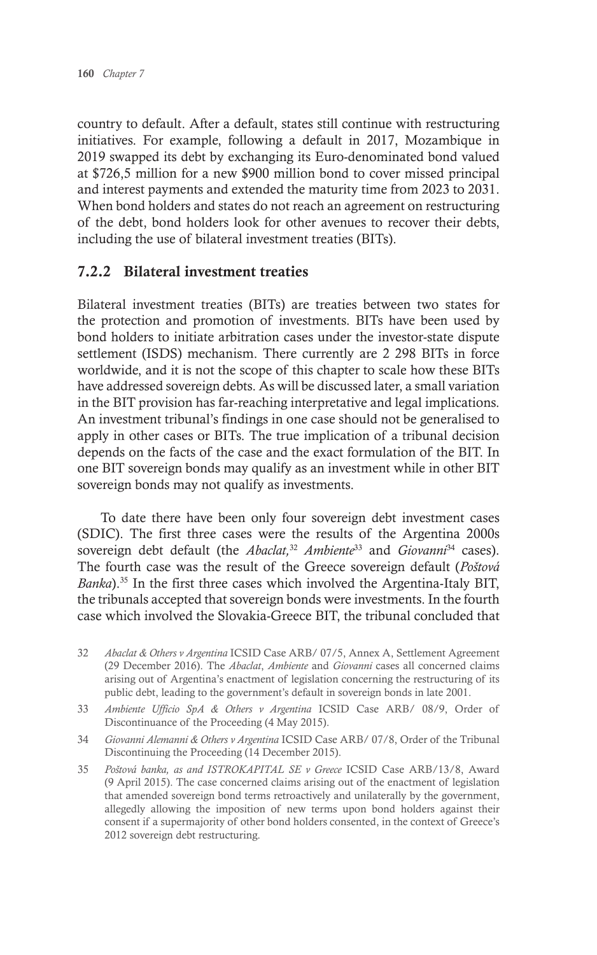country to default. After a default, states still continue with restructuring initiatives. For example, following a default in 2017, Mozambique in 2019 swapped its debt by exchanging its Euro-denominated bond valued at \$726,5 million for a new \$900 million bond to cover missed principal and interest payments and extended the maturity time from 2023 to 2031. When bond holders and states do not reach an agreement on restructuring of the debt, bond holders look for other avenues to recover their debts, including the use of bilateral investment treaties (BITs).

#### 7.2.2 Bilateral investment treaties

Bilateral investment treaties (BITs) are treaties between two states for the protection and promotion of investments. BITs have been used by bond holders to initiate arbitration cases under the investor-state dispute settlement (ISDS) mechanism. There currently are 2 298 BITs in force worldwide, and it is not the scope of this chapter to scale how these BITs have addressed sovereign debts. As will be discussed later, a small variation in the BIT provision has far-reaching interpretative and legal implications. An investment tribunal's findings in one case should not be generalised to apply in other cases or BITs. The true implication of a tribunal decision depends on the facts of the case and the exact formulation of the BIT. In one BIT sovereign bonds may qualify as an investment while in other BIT sovereign bonds may not qualify as investments.

To date there have been only four sovereign debt investment cases (SDIC). The first three cases were the results of the Argentina 2000s sovereign debt default (the *Abaclat,*<sup>32</sup> *Ambiente*33 and *Giovanni*34 cases). The fourth case was the result of the Greece sovereign default (*Poštová Banka*).35 In the first three cases which involved the Argentina-Italy BIT, the tribunals accepted that sovereign bonds were investments. In the fourth case which involved the Slovakia-Greece BIT, the tribunal concluded that

- 32 *Abaclat & Others v Argentina* ICSID Case ARB/ 07/5, Annex A, Settlement Agreement (29 December 2016). The *Abaclat*, *Ambiente* and *Giovanni* cases all concerned claims arising out of Argentina's enactment of legislation concerning the restructuring of its public debt, leading to the government's default in sovereign bonds in late 2001.
- 33 *Ambiente Ufficio SpA & Others v Argentina* ICSID Case ARB/ 08/9, Order of Discontinuance of the Proceeding (4 May 2015).

34 *Giovanni Alemanni & Others v Argentina* ICSID Case ARB/ 07/8, Order of the Tribunal Discontinuing the Proceeding (14 December 2015).

35 *Poštová banka, as and ISTROKAPITAL SE v Greece* ICSID Case ARB/13/8, Award (9 April 2015). The case concerned claims arising out of the enactment of legislation that amended sovereign bond terms retroactively and unilaterally by the government, allegedly allowing the imposition of new terms upon bond holders against their consent if a supermajority of other bond holders consented, in the context of Greece's 2012 sovereign debt restructuring.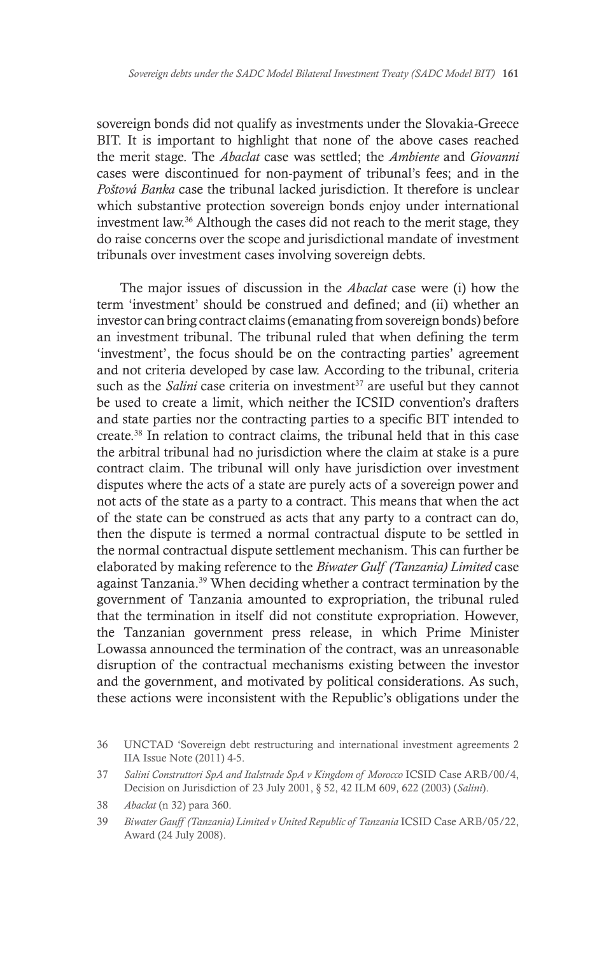sovereign bonds did not qualify as investments under the Slovakia-Greece BIT. It is important to highlight that none of the above cases reached the merit stage. The *Abaclat* case was settled; the *Ambiente* and *Giovanni*  cases were discontinued for non-payment of tribunal's fees; and in the *Poštová Banka* case the tribunal lacked jurisdiction. It therefore is unclear which substantive protection sovereign bonds enjoy under international investment law.36 Although the cases did not reach to the merit stage, they do raise concerns over the scope and jurisdictional mandate of investment tribunals over investment cases involving sovereign debts.

The major issues of discussion in the *Abaclat* case were (i) how the term 'investment' should be construed and defined; and (ii) whether an investor can bring contract claims (emanating from sovereign bonds) before an investment tribunal. The tribunal ruled that when defining the term 'investment', the focus should be on the contracting parties' agreement and not criteria developed by case law. According to the tribunal, criteria such as the *Salini* case criteria on investment<sup>37</sup> are useful but they cannot be used to create a limit, which neither the ICSID convention's drafters and state parties nor the contracting parties to a specific BIT intended to create.38 In relation to contract claims, the tribunal held that in this case the arbitral tribunal had no jurisdiction where the claim at stake is a pure contract claim. The tribunal will only have jurisdiction over investment disputes where the acts of a state are purely acts of a sovereign power and not acts of the state as a party to a contract. This means that when the act of the state can be construed as acts that any party to a contract can do, then the dispute is termed a normal contractual dispute to be settled in the normal contractual dispute settlement mechanism. This can further be elaborated by making reference to the *Biwater Gulf (Tanzania) Limited* case against Tanzania.39 When deciding whether a contract termination by the government of Tanzania amounted to expropriation, the tribunal ruled that the termination in itself did not constitute expropriation. However, the Tanzanian government press release, in which Prime Minister Lowassa announced the termination of the contract, was an unreasonable disruption of the contractual mechanisms existing between the investor and the government, and motivated by political considerations. As such, these actions were inconsistent with the Republic's obligations under the

<sup>36</sup> UNCTAD 'Sovereign debt restructuring and international investment agreements 2 IIA Issue Note (2011) 4-5.

<sup>37</sup> *Salini Construttori SpA and Italstrade SpA v Kingdom of Morocco* ICSID Case ARB/00/4, Decision on Jurisdiction of 23 July 2001, § 52, 42 ILM 609, 622 (2003) (*Salini*).

<sup>38</sup> *Abaclat* (n 32) para 360.

<sup>39</sup> *Biwater Gauff (Tanzania) Limited v United Republic of Tanzania* ICSID Case ARB/05/22, Award (24 July 2008).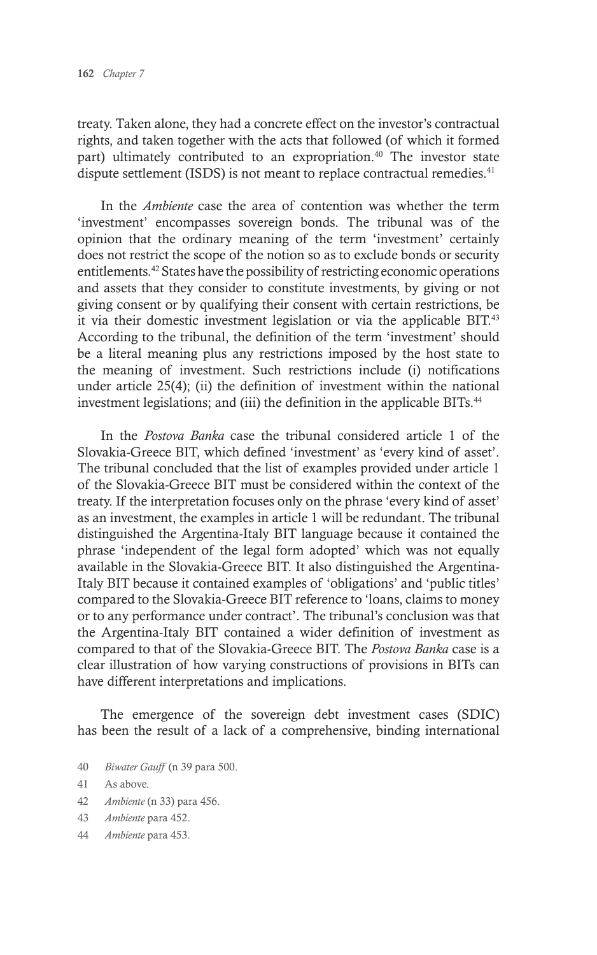treaty. Taken alone, they had a concrete effect on the investor's contractual rights, and taken together with the acts that followed (of which it formed part) ultimately contributed to an expropriation.<sup>40</sup> The investor state dispute settlement (ISDS) is not meant to replace contractual remedies.<sup>41</sup>

In the *Ambiente* case the area of contention was whether the term 'investment' encompasses sovereign bonds. The tribunal was of the opinion that the ordinary meaning of the term 'investment' certainly does not restrict the scope of the notion so as to exclude bonds or security entitlements.42 States have the possibility of restricting economic operations and assets that they consider to constitute investments, by giving or not giving consent or by qualifying their consent with certain restrictions, be it via their domestic investment legislation or via the applicable BIT.<sup>43</sup> According to the tribunal, the definition of the term 'investment' should be a literal meaning plus any restrictions imposed by the host state to the meaning of investment. Such restrictions include (i) notifications under article 25(4); (ii) the definition of investment within the national investment legislations; and (iii) the definition in the applicable BITs.<sup>44</sup>

In the *Postova Banka* case the tribunal considered article 1 of the Slovakia-Greece BIT, which defined 'investment' as 'every kind of asset'. The tribunal concluded that the list of examples provided under article 1 of the Slovakia-Greece BIT must be considered within the context of the treaty. If the interpretation focuses only on the phrase 'every kind of asset' as an investment, the examples in article 1 will be redundant. The tribunal distinguished the Argentina-Italy BIT language because it contained the phrase 'independent of the legal form adopted' which was not equally available in the Slovakia-Greece BIT. It also distinguished the Argentina-Italy BIT because it contained examples of 'obligations' and 'public titles' compared to the Slovakia-Greece BIT reference to 'loans, claims to money or to any performance under contract'. The tribunal's conclusion was that the Argentina-Italy BIT contained a wider definition of investment as compared to that of the Slovakia-Greece BIT. The *Postova Banka* case is a clear illustration of how varying constructions of provisions in BITs can have different interpretations and implications.

The emergence of the sovereign debt investment cases (SDIC) has been the result of a lack of a comprehensive, binding international

40 *Biwater Gauff* (n 39 para 500.

- 42 *Ambiente* (n 33) para 456.
- 43 *Ambiente* para 452.
- 44 *Ambiente* para 453.

<sup>41</sup> As above.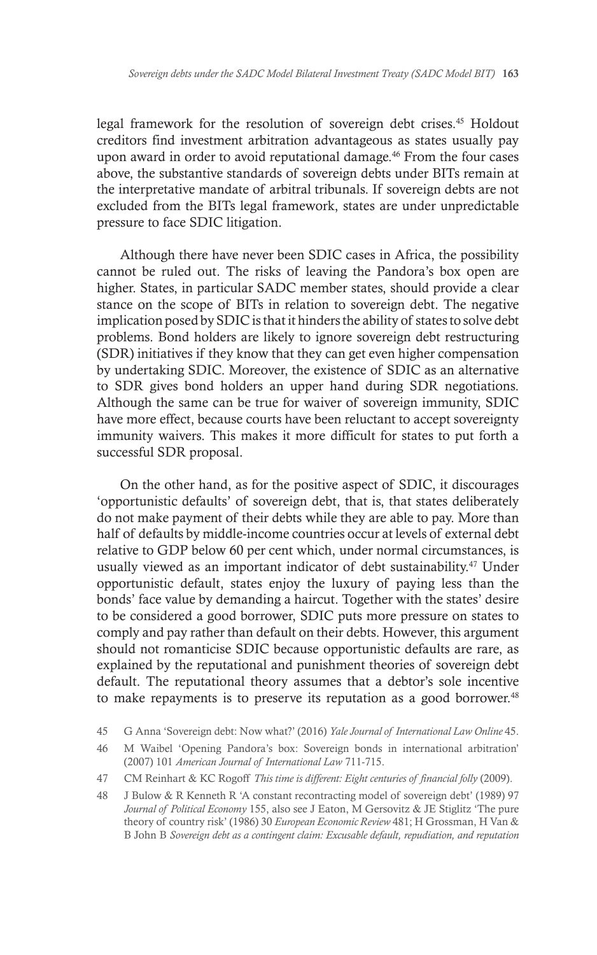legal framework for the resolution of sovereign debt crises.45 Holdout creditors find investment arbitration advantageous as states usually pay upon award in order to avoid reputational damage.<sup>46</sup> From the four cases above, the substantive standards of sovereign debts under BITs remain at the interpretative mandate of arbitral tribunals. If sovereign debts are not excluded from the BITs legal framework, states are under unpredictable pressure to face SDIC litigation.

Although there have never been SDIC cases in Africa, the possibility cannot be ruled out. The risks of leaving the Pandora's box open are higher. States, in particular SADC member states, should provide a clear stance on the scope of BITs in relation to sovereign debt. The negative implication posed by SDIC is that it hinders the ability of states to solve debt problems. Bond holders are likely to ignore sovereign debt restructuring (SDR) initiatives if they know that they can get even higher compensation by undertaking SDIC. Moreover, the existence of SDIC as an alternative to SDR gives bond holders an upper hand during SDR negotiations. Although the same can be true for waiver of sovereign immunity, SDIC have more effect, because courts have been reluctant to accept sovereignty immunity waivers. This makes it more difficult for states to put forth a successful SDR proposal.

On the other hand, as for the positive aspect of SDIC, it discourages 'opportunistic defaults' of sovereign debt, that is, that states deliberately do not make payment of their debts while they are able to pay. More than half of defaults by middle-income countries occur at levels of external debt relative to GDP below 60 per cent which, under normal circumstances, is usually viewed as an important indicator of debt sustainability.<sup>47</sup> Under opportunistic default, states enjoy the luxury of paying less than the bonds' face value by demanding a haircut. Together with the states' desire to be considered a good borrower, SDIC puts more pressure on states to comply and pay rather than default on their debts. However, this argument should not romanticise SDIC because opportunistic defaults are rare, as explained by the reputational and punishment theories of sovereign debt default. The reputational theory assumes that a debtor's sole incentive to make repayments is to preserve its reputation as a good borrower.<sup>48</sup>

<sup>45</sup> G Anna 'Sovereign debt: Now what?' (2016) *Yale Journal of International Law Online* 45.

<sup>46</sup> M Waibel 'Opening Pandora's box: Sovereign bonds in international arbitration' (2007) 101 *American Journal of International Law* 711-715.

<sup>47</sup> CM Reinhart & KC Rogoff *This time is different: Eight centuries of financial folly* (2009).

<sup>48</sup> J Bulow & R Kenneth R 'A constant recontracting model of sovereign debt' (1989) 97 *Journal of Political Economy* 155, also see J Eaton, M Gersovitz & JE Stiglitz 'The pure theory of country risk' (1986) 30 *European Economic Review* 481; H Grossman, H Van & B John B *Sovereign debt as a contingent claim: Excusable default, repudiation, and reputation*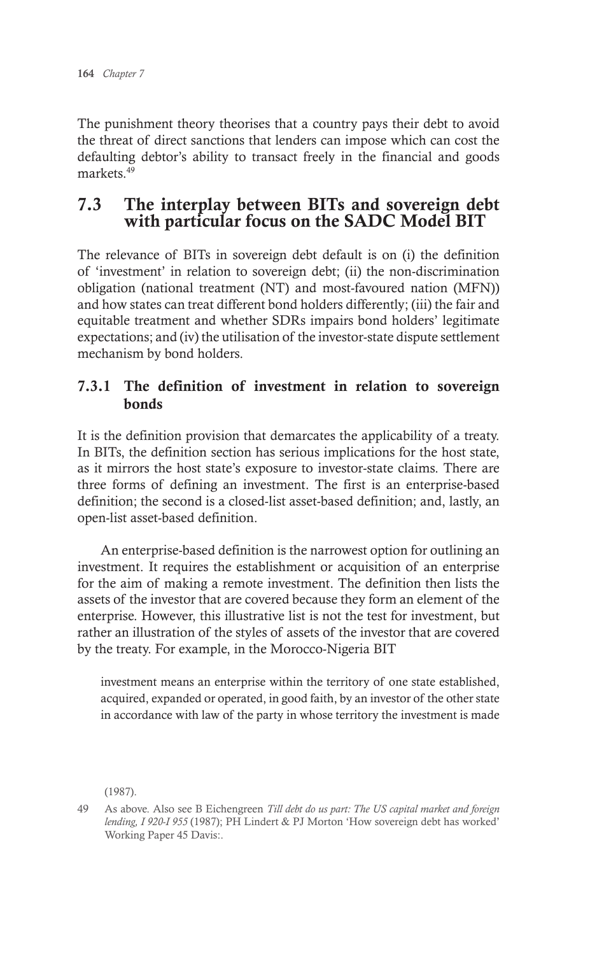The punishment theory theorises that a country pays their debt to avoid the threat of direct sanctions that lenders can impose which can cost the defaulting debtor's ability to transact freely in the financial and goods markets<sup>49</sup>

### 7.3 The interplay between BITs and sovereign debt with particular focus on the SADC Model BIT

The relevance of BITs in sovereign debt default is on (i) the definition of 'investment' in relation to sovereign debt; (ii) the non-discrimination obligation (national treatment (NT) and most-favoured nation (MFN)) and how states can treat different bond holders differently; (iii) the fair and equitable treatment and whether SDRs impairs bond holders' legitimate expectations; and (iv) the utilisation of the investor-state dispute settlement mechanism by bond holders.

#### 7.3.1 The definition of investment in relation to sovereign bonds

It is the definition provision that demarcates the applicability of a treaty. In BITs, the definition section has serious implications for the host state, as it mirrors the host state's exposure to investor-state claims. There are three forms of defining an investment. The first is an enterprise-based definition; the second is a closed-list asset-based definition; and, lastly, an open-list asset-based definition.

An enterprise-based definition is the narrowest option for outlining an investment. It requires the establishment or acquisition of an enterprise for the aim of making a remote investment. The definition then lists the assets of the investor that are covered because they form an element of the enterprise. However, this illustrative list is not the test for investment, but rather an illustration of the styles of assets of the investor that are covered by the treaty. For example, in the Morocco-Nigeria BIT

investment means an enterprise within the territory of one state established, acquired, expanded or operated, in good faith, by an investor of the other state in accordance with law of the party in whose territory the investment is made

(1987).

<sup>49</sup> As above. Also see B Eichengreen *Till debt do us part: The US capital market and foreign lending, I 920-I 955* (1987); PH Lindert & PJ Morton 'How sovereign debt has worked' Working Paper 45 Davis:.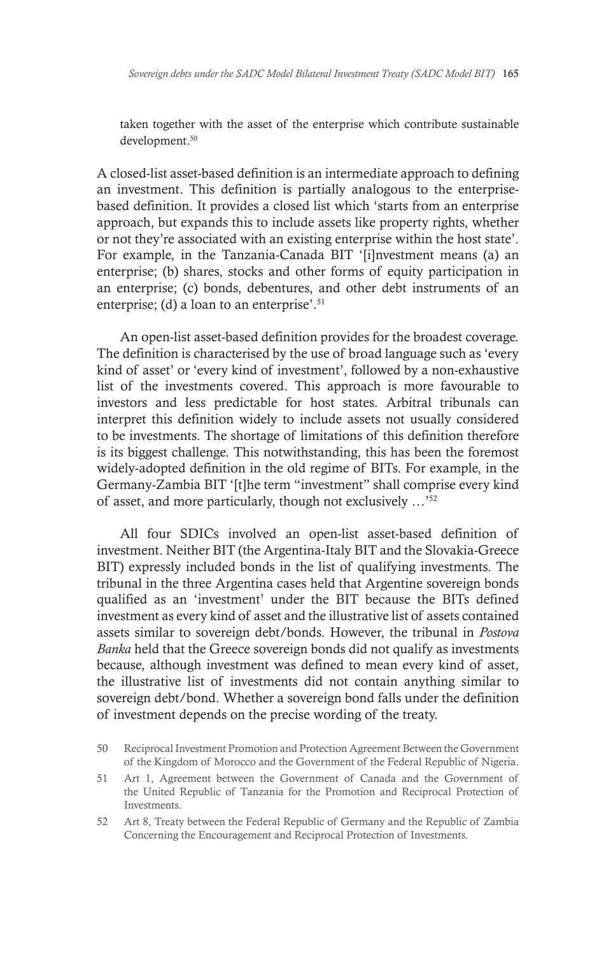taken together with the asset of the enterprise which contribute sustainable development.<sup>50</sup>

A closed-list asset-based definition is an intermediate approach to defining an investment. This definition is partially analogous to the enterprisebased definition. It provides a closed list which 'starts from an enterprise approach, but expands this to include assets like property rights, whether or not they're associated with an existing enterprise within the host state'. For example, in the Tanzania-Canada BIT '[i]nvestment means (a) an enterprise; (b) shares, stocks and other forms of equity participation in an enterprise; (c) bonds, debentures, and other debt instruments of an enterprise; (d) a loan to an enterprise'.<sup>51</sup>

An open-list asset-based definition provides for the broadest coverage. The definition is characterised by the use of broad language such as 'every kind of asset' or 'every kind of investment', followed by a non-exhaustive list of the investments covered. This approach is more favourable to investors and less predictable for host states. Arbitral tribunals can interpret this definition widely to include assets not usually considered to be investments. The shortage of limitations of this definition therefore is its biggest challenge. This notwithstanding, this has been the foremost widely-adopted definition in the old regime of BITs. For example, in the Germany-Zambia BIT '[t]he term "investment" shall comprise every kind of asset, and more particularly, though not exclusively …'52

All four SDICs involved an open-list asset-based definition of investment. Neither BIT (the Argentina-Italy BIT and the Slovakia-Greece BIT) expressly included bonds in the list of qualifying investments. The tribunal in the three Argentina cases held that Argentine sovereign bonds qualified as an 'investment' under the BIT because the BITs defined investment as every kind of asset and the illustrative list of assets contained assets similar to sovereign debt/bonds. However, the tribunal in *Postova Banka* held that the Greece sovereign bonds did not qualify as investments because, although investment was defined to mean every kind of asset, the illustrative list of investments did not contain anything similar to sovereign debt/bond. Whether a sovereign bond falls under the definition of investment depends on the precise wording of the treaty.

<sup>50</sup> Reciprocal Investment Promotion and Protection Agreement Between the Government of the Kingdom of Morocco and the Government of the Federal Republic of Nigeria.

<sup>51</sup> Art 1, Agreement between the Government of Canada and the Government of the United Republic of Tanzania for the Promotion and Reciprocal Protection of Investments.

<sup>52</sup> Art 8, Treaty between the Federal Republic of Germany and the Republic of Zambia Concerning the Encouragement and Reciprocal Protection of Investments.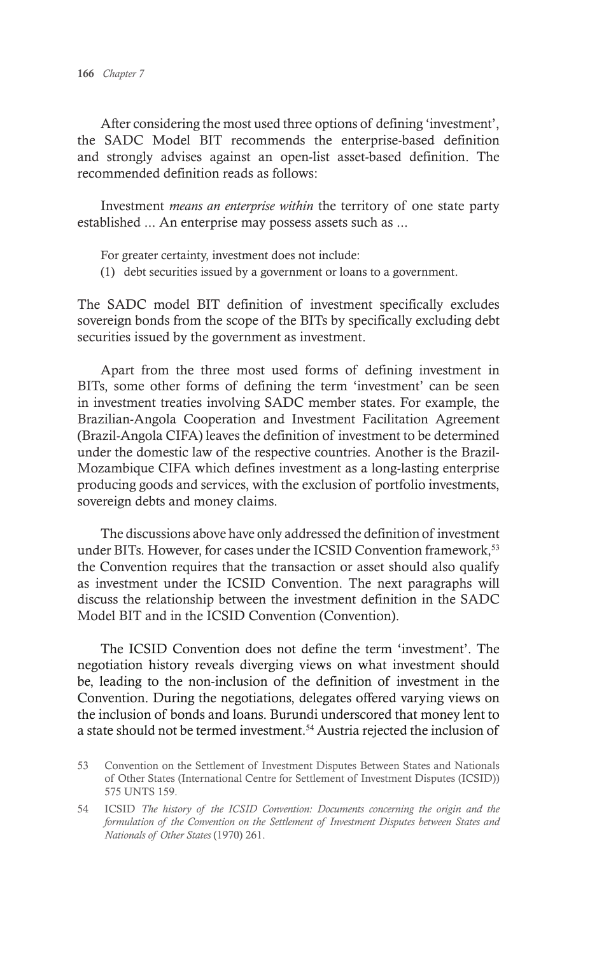After considering the most used three options of defining 'investment', the SADC Model BIT recommends the enterprise-based definition and strongly advises against an open-list asset-based definition. The recommended definition reads as follows:

Investment *means an enterprise within* the territory of one state party established ... An enterprise may possess assets such as ...

For greater certainty, investment does not include:

(1) debt securities issued by a government or loans to a government.

The SADC model BIT definition of investment specifically excludes sovereign bonds from the scope of the BITs by specifically excluding debt securities issued by the government as investment.

Apart from the three most used forms of defining investment in BITs, some other forms of defining the term 'investment' can be seen in investment treaties involving SADC member states. For example, the Brazilian-Angola Cooperation and Investment Facilitation Agreement (Brazil-Angola CIFA) leaves the definition of investment to be determined under the domestic law of the respective countries. Another is the Brazil-Mozambique CIFA which defines investment as a long-lasting enterprise producing goods and services, with the exclusion of portfolio investments, sovereign debts and money claims.

The discussions above have only addressed the definition of investment under BITs. However, for cases under the ICSID Convention framework,<sup>53</sup> the Convention requires that the transaction or asset should also qualify as investment under the ICSID Convention. The next paragraphs will discuss the relationship between the investment definition in the SADC Model BIT and in the ICSID Convention (Convention).

The ICSID Convention does not define the term 'investment'. The negotiation history reveals diverging views on what investment should be, leading to the non-inclusion of the definition of investment in the Convention. During the negotiations, delegates offered varying views on the inclusion of bonds and loans. Burundi underscored that money lent to a state should not be termed investment.<sup>54</sup> Austria rejected the inclusion of

<sup>53</sup> Convention on the Settlement of Investment Disputes Between States and Nationals of Other States (International Centre for Settlement of Investment Disputes (ICSID)) 575 UNTS 159.

<sup>54</sup> ICSID *The history of the ICSID Convention: Documents concerning the origin and the formulation of the Convention on the Settlement of Investment Disputes between States and Nationals of Other States* (1970) 261.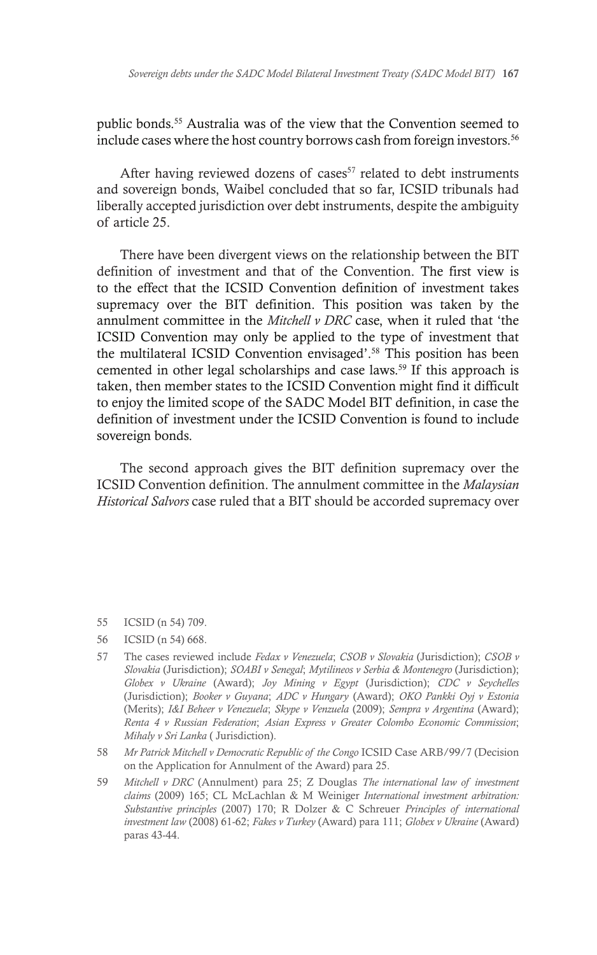public bonds.55 Australia was of the view that the Convention seemed to include cases where the host country borrows cash from foreign investors.<sup>56</sup>

After having reviewed dozens of cases<sup>57</sup> related to debt instruments and sovereign bonds, Waibel concluded that so far, ICSID tribunals had liberally accepted jurisdiction over debt instruments, despite the ambiguity of article 25.

There have been divergent views on the relationship between the BIT definition of investment and that of the Convention. The first view is to the effect that the ICSID Convention definition of investment takes supremacy over the BIT definition. This position was taken by the annulment committee in the *Mitchell v DRC* case, when it ruled that 'the ICSID Convention may only be applied to the type of investment that the multilateral ICSID Convention envisaged'.58 This position has been cemented in other legal scholarships and case laws.<sup>59</sup> If this approach is taken, then member states to the ICSID Convention might find it difficult to enjoy the limited scope of the SADC Model BIT definition, in case the definition of investment under the ICSID Convention is found to include sovereign bonds.

The second approach gives the BIT definition supremacy over the ICSID Convention definition. The annulment committee in the *Malaysian Historical Salvors* case ruled that a BIT should be accorded supremacy over

- 55 ICSID (n 54) 709.
- 56 ICSID (n 54) 668.
- 57 The cases reviewed include *Fedax v Venezuela*; *CSOB v Slovakia* (Jurisdiction); *CSOB v Slovakia* (Jurisdiction); *SOABI v Senegal*; *Mytilineos v Serbia & Montenegro* (Jurisdiction); *Globex v Ukraine* (Award); *Joy Mining v Egypt* (Jurisdiction); *CDC v Seychelles* (Jurisdiction); *Booker v Guyana*; *ADC v Hungary* (Award); *OKO Pankki Oyj v Estonia* (Merits); *I&I Beheer v Venezuela*; *Skype v Venzuela* (2009); *Sempra v Argentina* (Award); *Renta 4 v Russian Federation*; *Asian Express v Greater Colombo Economic Commission*; *Mihaly v Sri Lanka* ( Jurisdiction).
- 58 *Mr Patrick Mitchell v Democratic Republic of the Congo* ICSID Case ARB/99/7 (Decision on the Application for Annulment of the Award) para 25.
- 59 *Mitchell v DRC* (Annulment) para 25; Z Douglas *The international law of investment claims* (2009) 165; CL McLachlan & M Weiniger *International investment arbitration: Substantive principles* (2007) 170; R Dolzer & C Schreuer *Principles of international investment law* (2008) 61-62; *Fakes v Turkey* (Award) para 111; *Globex v Ukraine* (Award) paras 43-44.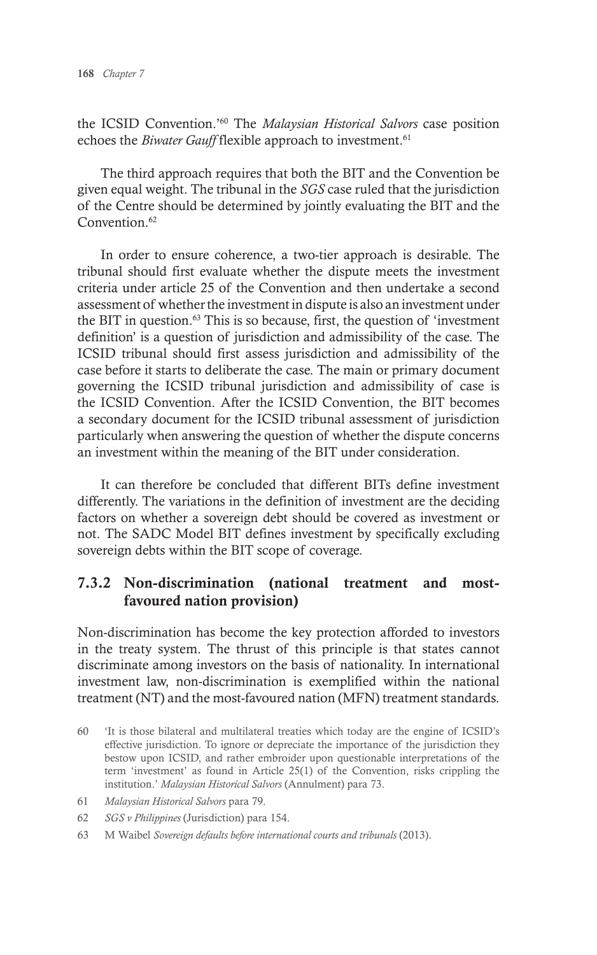the ICSID Convention.'60 The *Malaysian Historical Salvors* case position echoes the *Biwater Gauff* flexible approach to investment.<sup>61</sup>

The third approach requires that both the BIT and the Convention be given equal weight. The tribunal in the *SGS* case ruled that the jurisdiction of the Centre should be determined by jointly evaluating the BIT and the Convention.<sup>62</sup>

In order to ensure coherence, a two-tier approach is desirable. The tribunal should first evaluate whether the dispute meets the investment criteria under article 25 of the Convention and then undertake a second assessment of whether the investment in dispute is also an investment under the BIT in question. $63$  This is so because, first, the question of 'investment definition' is a question of jurisdiction and admissibility of the case. The ICSID tribunal should first assess jurisdiction and admissibility of the case before it starts to deliberate the case. The main or primary document governing the ICSID tribunal jurisdiction and admissibility of case is the ICSID Convention. After the ICSID Convention, the BIT becomes a secondary document for the ICSID tribunal assessment of jurisdiction particularly when answering the question of whether the dispute concerns an investment within the meaning of the BIT under consideration.

It can therefore be concluded that different BITs define investment differently. The variations in the definition of investment are the deciding factors on whether a sovereign debt should be covered as investment or not. The SADC Model BIT defines investment by specifically excluding sovereign debts within the BIT scope of coverage.

#### 7.3.2 Non-discrimination (national treatment and mostfavoured nation provision)

Non-discrimination has become the key protection afforded to investors in the treaty system. The thrust of this principle is that states cannot discriminate among investors on the basis of nationality. In international investment law, non-discrimination is exemplified within the national treatment (NT) and the most-favoured nation (MFN) treatment standards.

- 60 'It is those bilateral and multilateral treaties which today are the engine of ICSID's effective jurisdiction. To ignore or depreciate the importance of the jurisdiction they bestow upon ICSID, and rather embroider upon questionable interpretations of the term 'investment' as found in Article 25(1) of the Convention, risks crippling the institution.' *Malaysian Historical Salvors* (Annulment) para 73.
- 61 *Malaysian Historical Salvors* para 79.
- 62 *SGS v Philippines* (Jurisdiction) para 154.
- 63 M Waibel *Sovereign defaults before international courts and tribunals* (2013).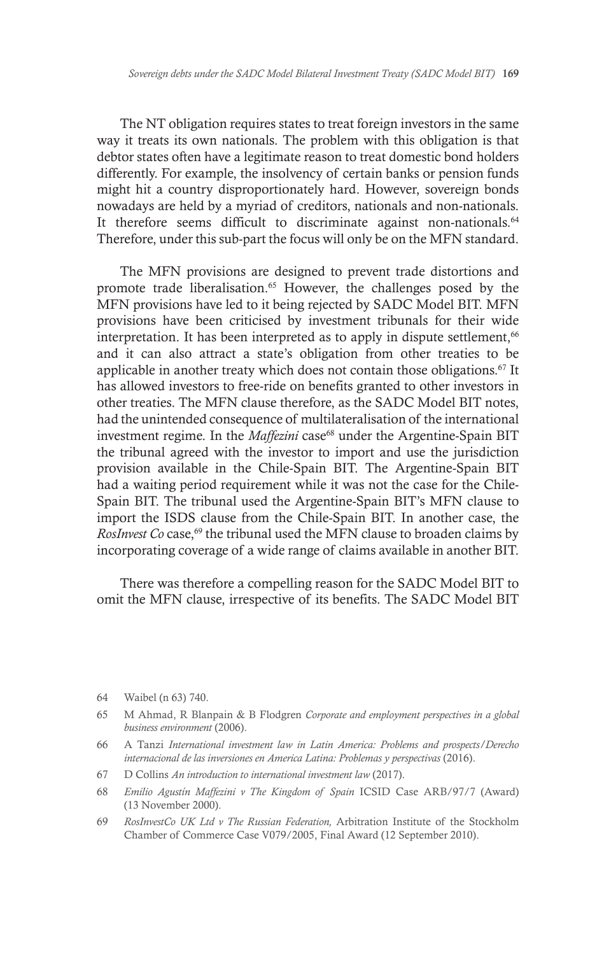The NT obligation requires states to treat foreign investors in the same way it treats its own nationals. The problem with this obligation is that debtor states often have a legitimate reason to treat domestic bond holders differently. For example, the insolvency of certain banks or pension funds might hit a country disproportionately hard. However, sovereign bonds nowadays are held by a myriad of creditors, nationals and non-nationals. It therefore seems difficult to discriminate against non-nationals.<sup>64</sup> Therefore, under this sub-part the focus will only be on the MFN standard.

The MFN provisions are designed to prevent trade distortions and promote trade liberalisation.65 However, the challenges posed by the MFN provisions have led to it being rejected by SADC Model BIT. MFN provisions have been criticised by investment tribunals for their wide interpretation. It has been interpreted as to apply in dispute settlement,<sup>66</sup> and it can also attract a state's obligation from other treaties to be applicable in another treaty which does not contain those obligations.<sup>67</sup> It has allowed investors to free-ride on benefits granted to other investors in other treaties. The MFN clause therefore, as the SADC Model BIT notes, had the unintended consequence of multilateralisation of the international investment regime. In the *Maffezini* case<sup>68</sup> under the Argentine-Spain BIT the tribunal agreed with the investor to import and use the jurisdiction provision available in the Chile-Spain BIT. The Argentine-Spain BIT had a waiting period requirement while it was not the case for the Chile-Spain BIT. The tribunal used the Argentine-Spain BIT's MFN clause to import the ISDS clause from the Chile-Spain BIT. In another case, the *RosInvest Co* case,<sup>69</sup> the tribunal used the MFN clause to broaden claims by incorporating coverage of a wide range of claims available in another BIT.

There was therefore a compelling reason for the SADC Model BIT to omit the MFN clause, irrespective of its benefits. The SADC Model BIT

<sup>64</sup> Waibel (n 63) 740.

<sup>65</sup> M Ahmad, R Blanpain & B Flodgren *Corporate and employment perspectives in a global business environment* (2006).

<sup>66</sup> A Tanzi *International investment law in Latin America: Problems and prospects/Derecho internacional de las inversiones en America Latina: Problemas y perspectivas* (2016).

<sup>67</sup> D Collins *An introduction to international investment law* (2017).

<sup>68</sup> *Emilio Agustín Maffezini v The Kingdom of Spain* ICSID Case ARB/97/7 (Award) (13 November 2000).

<sup>69</sup> *RosInvestCo UK Ltd v The Russian Federation,* Arbitration Institute of the Stockholm Chamber of Commerce Case V079/2005, Final Award (12 September 2010).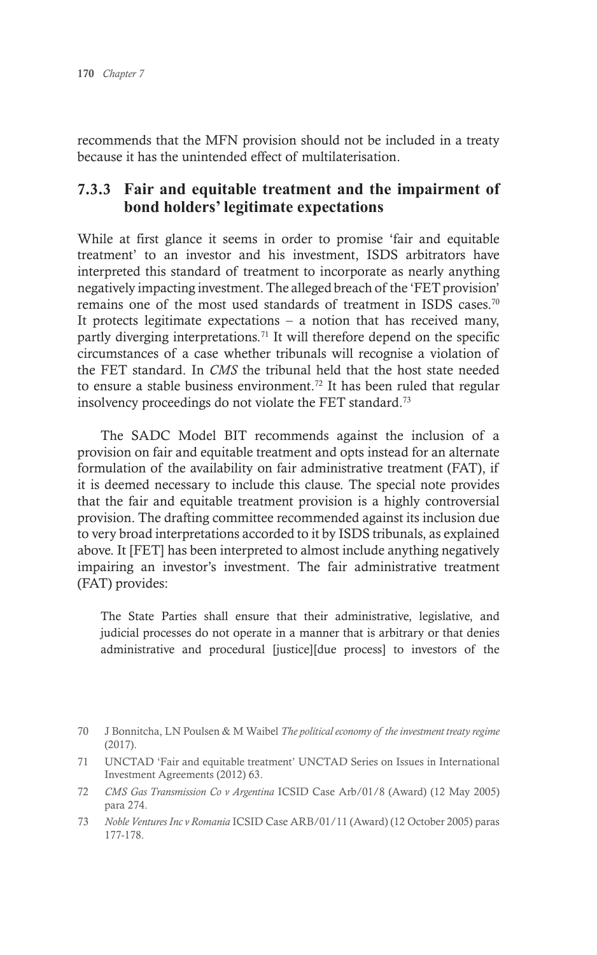recommends that the MFN provision should not be included in a treaty because it has the unintended effect of multilaterisation.

#### 7.3.3 **Fair and equitable treatment and the impairment of bond holders' legitimate expectations**

While at first glance it seems in order to promise 'fair and equitable treatment' to an investor and his investment, ISDS arbitrators have interpreted this standard of treatment to incorporate as nearly anything negatively impacting investment. The alleged breach of the 'FET provision' remains one of the most used standards of treatment in ISDS cases.<sup>70</sup> It protects legitimate expectations  $-$  a notion that has received many, partly diverging interpretations.<sup>71</sup> It will therefore depend on the specific circumstances of a case whether tribunals will recognise a violation of the FET standard. In *CMS* the tribunal held that the host state needed to ensure a stable business environment.<sup>72</sup> It has been ruled that regular insolvency proceedings do not violate the FET standard.73

The SADC Model BIT recommends against the inclusion of a provision on fair and equitable treatment and opts instead for an alternate formulation of the availability on fair administrative treatment (FAT), if it is deemed necessary to include this clause. The special note provides that the fair and equitable treatment provision is a highly controversial provision. The drafting committee recommended against its inclusion due to very broad interpretations accorded to it by ISDS tribunals, as explained above. It [FET] has been interpreted to almost include anything negatively impairing an investor's investment. The fair administrative treatment (FAT) provides:

The State Parties shall ensure that their administrative, legislative, and judicial processes do not operate in a manner that is arbitrary or that denies administrative and procedural [justice][due process] to investors of the

- 72 *CMS Gas Transmission Co v Argentina* ICSID Case Arb/01/8 (Award) (12 May 2005) para 274.
- 73 *Noble Ventures Inc v Romania* ICSID Case ARB/01/11 (Award) (12 October 2005) paras 177-178.

<sup>70</sup> J Bonnitcha, LN Poulsen & M Waibel *The political economy of the investment treaty regime* (2017).

<sup>71</sup> UNCTAD 'Fair and equitable treatment' UNCTAD Series on Issues in International Investment Agreements (2012) 63.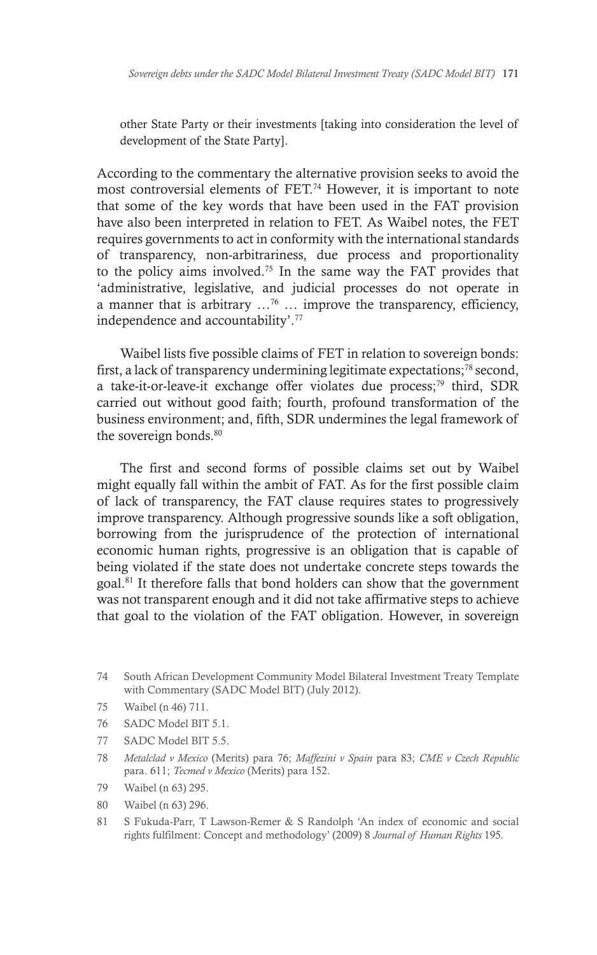other State Party or their investments [taking into consideration the level of development of the State Party].

According to the commentary the alternative provision seeks to avoid the most controversial elements of FET.74 However, it is important to note that some of the key words that have been used in the FAT provision have also been interpreted in relation to FET. As Waibel notes, the FET requires governments to act in conformity with the international standards of transparency, non-arbitrariness, due process and proportionality to the policy aims involved.75 In the same way the FAT provides that 'administrative, legislative, and judicial processes do not operate in a manner that is arbitrary  $\ldots^{76}$   $\ldots$  improve the transparency, efficiency, independence and accountability'.77

Waibel lists five possible claims of FET in relation to sovereign bonds: first, a lack of transparency undermining legitimate expectations;78 second, a take-it-or-leave-it exchange offer violates due process;<sup>79</sup> third, SDR carried out without good faith; fourth, profound transformation of the business environment; and, fifth, SDR undermines the legal framework of the sovereign bonds.<sup>80</sup>

The first and second forms of possible claims set out by Waibel might equally fall within the ambit of FAT. As for the first possible claim of lack of transparency, the FAT clause requires states to progressively improve transparency. Although progressive sounds like a soft obligation, borrowing from the jurisprudence of the protection of international economic human rights, progressive is an obligation that is capable of being violated if the state does not undertake concrete steps towards the goal.81 It therefore falls that bond holders can show that the government was not transparent enough and it did not take affirmative steps to achieve that goal to the violation of the FAT obligation. However, in sovereign

- 75 Waibel (n 46) 711.
- 76 SADC Model BIT 5.1.
- 77 SADC Model BIT 5.5.
- 78 *Metalclad v Mexico* (Merits) para 76; *Maffezini v Spain* para 83; *CME v Czech Republic* para. 611; *Tecmed v Mexico* (Merits) para 152.
- 79 Waibel (n 63) 295.
- 80 Waibel (n 63) 296.
- 81 S Fukuda-Parr, T Lawson-Remer & S Randolph 'An index of economic and social rights fulfilment: Concept and methodology' (2009) 8 *Journal of Human Rights* 195*.*

<sup>74</sup> South African Development Community Model Bilateral Investment Treaty Template with Commentary (SADC Model BIT) (July 2012).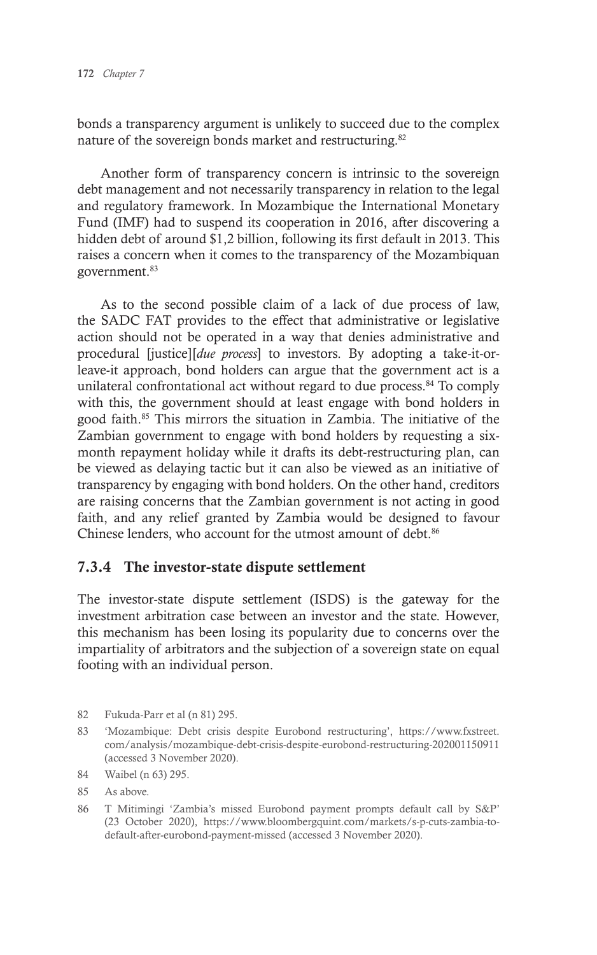bonds a transparency argument is unlikely to succeed due to the complex nature of the sovereign bonds market and restructuring.<sup>82</sup>

Another form of transparency concern is intrinsic to the sovereign debt management and not necessarily transparency in relation to the legal and regulatory framework. In Mozambique the International Monetary Fund (IMF) had to suspend its cooperation in 2016, after discovering a hidden debt of around \$1,2 billion, following its first default in 2013. This raises a concern when it comes to the transparency of the Mozambiquan government.83

As to the second possible claim of a lack of due process of law, the SADC FAT provides to the effect that administrative or legislative action should not be operated in a way that denies administrative and procedural [justice][*due process*] to investors. By adopting a take-it-orleave-it approach, bond holders can argue that the government act is a unilateral confrontational act without regard to due process.<sup>84</sup> To comply with this, the government should at least engage with bond holders in good faith.85 This mirrors the situation in Zambia. The initiative of the Zambian government to engage with bond holders by requesting a sixmonth repayment holiday while it drafts its debt-restructuring plan, can be viewed as delaying tactic but it can also be viewed as an initiative of transparency by engaging with bond holders. On the other hand, creditors are raising concerns that the Zambian government is not acting in good faith, and any relief granted by Zambia would be designed to favour Chinese lenders, who account for the utmost amount of debt.<sup>86</sup>

#### 7.3.4 The investor-state dispute settlement

The investor-state dispute settlement (ISDS) is the gateway for the investment arbitration case between an investor and the state. However, this mechanism has been losing its popularity due to concerns over the impartiality of arbitrators and the subjection of a sovereign state on equal footing with an individual person.

<sup>82</sup> Fukuda-Parr et al (n 81) 295.

<sup>83</sup> 'Mozambique: Debt crisis despite Eurobond restructuring', https://www.fxstreet. com/analysis/mozambique-debt-crisis-despite-eurobond-restructuring-202001150911 (accessed 3 November 2020).

<sup>84</sup> Waibel (n 63) 295.

<sup>85</sup> As above.

<sup>86</sup> T Mitimingi 'Zambia's missed Eurobond payment prompts default call by S&P' (23 October 2020), https://www.bloombergquint.com/markets/s-p-cuts-zambia-todefault-after-eurobond-payment-missed (accessed 3 November 2020).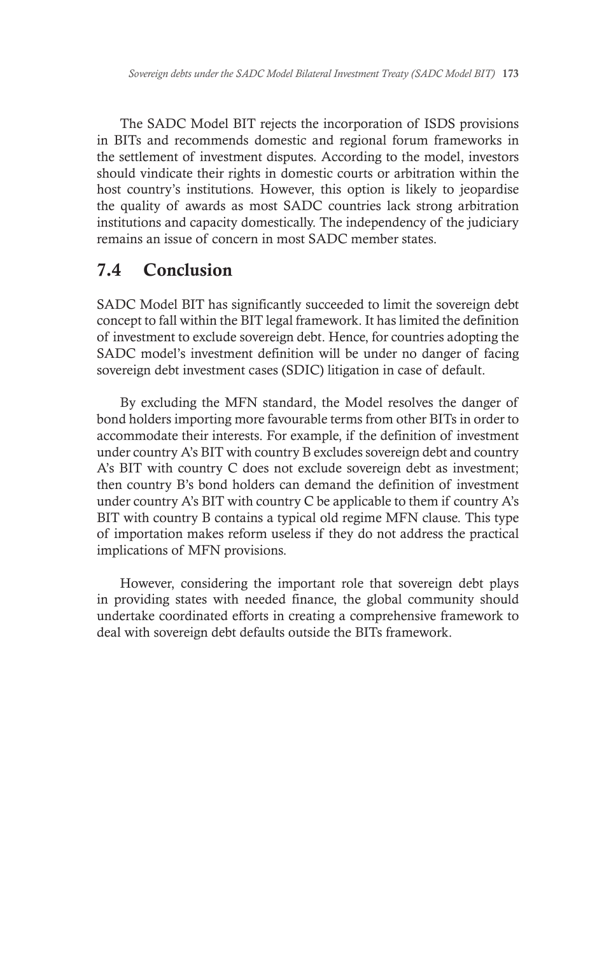The SADC Model BIT rejects the incorporation of ISDS provisions in BITs and recommends domestic and regional forum frameworks in the settlement of investment disputes. According to the model, investors should vindicate their rights in domestic courts or arbitration within the host country's institutions. However, this option is likely to jeopardise the quality of awards as most SADC countries lack strong arbitration institutions and capacity domestically. The independency of the judiciary remains an issue of concern in most SADC member states.

## 7.4 Conclusion

SADC Model BIT has significantly succeeded to limit the sovereign debt concept to fall within the BIT legal framework. It has limited the definition of investment to exclude sovereign debt. Hence, for countries adopting the SADC model's investment definition will be under no danger of facing sovereign debt investment cases (SDIC) litigation in case of default.

By excluding the MFN standard, the Model resolves the danger of bond holders importing more favourable terms from other BITs in order to accommodate their interests. For example, if the definition of investment under country A's BIT with country B excludes sovereign debt and country A's BIT with country C does not exclude sovereign debt as investment; then country B's bond holders can demand the definition of investment under country A's BIT with country C be applicable to them if country A's BIT with country B contains a typical old regime MFN clause. This type of importation makes reform useless if they do not address the practical implications of MFN provisions.

However, considering the important role that sovereign debt plays in providing states with needed finance, the global community should undertake coordinated efforts in creating a comprehensive framework to deal with sovereign debt defaults outside the BITs framework.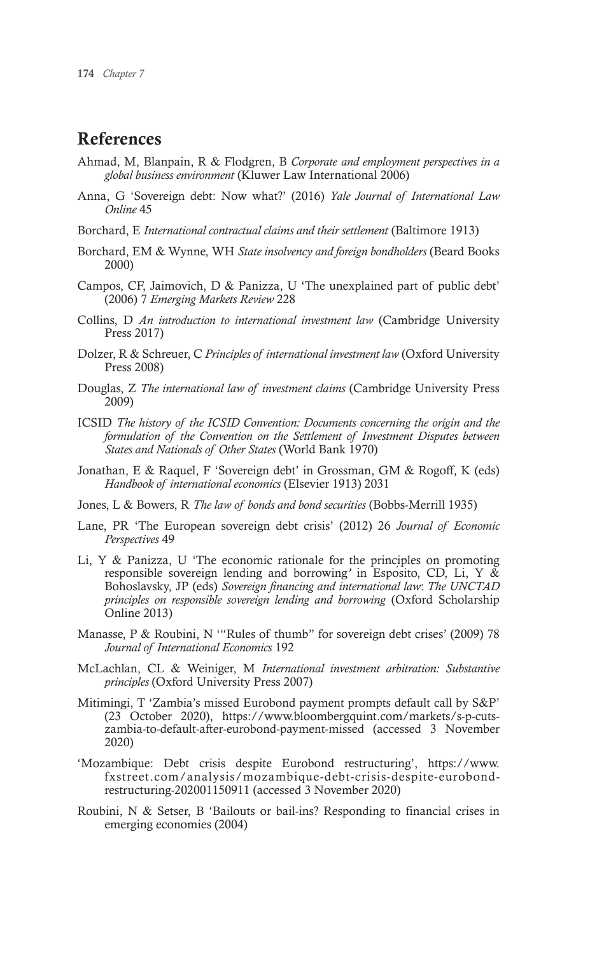#### References

- Ahmad, M, Blanpain, R & Flodgren, B *Corporate and employment perspectives in a global business environment* (Kluwer Law International 2006)
- Anna, G 'Sovereign debt: Now what?' (2016) *Yale Journal of International Law Online* 45
- Borchard, E *International contractual claims and their settlement* (Baltimore 1913)
- Borchard, EM & Wynne, WH *State insolvency and foreign bondholders* (Beard Books 2000)
- Campos, CF, Jaimovich, D & Panizza, U 'The unexplained part of public debt' (2006) 7 *Emerging Markets Review* 228
- Collins, D *An introduction to international investment law* (Cambridge University Press 2017)
- Dolzer, R & Schreuer, C *Principles of international investment law* (Oxford University Press 2008)
- Douglas, Z *The international law of investment claims* (Cambridge University Press 2009)
- ICSID *The history of the ICSID Convention: Documents concerning the origin and the formulation of the Convention on the Settlement of Investment Disputes between States and Nationals of Other States* (World Bank 1970)
- Jonathan, E & Raquel, F 'Sovereign debt' in Grossman, GM & Rogoff, K (eds) *Handbook of international economics* (Elsevier 1913) 2031
- Jones, L & Bowers, R *The law of bonds and bond securities* (Bobbs-Merrill 1935)
- Lane, PR 'The European sovereign debt crisis' (2012) 26 *Journal of Economic Perspectives* 49
- Li, Y & Panizza, U 'The economic rationale for the principles on promoting responsible sovereign lending and borrowing*'* in Espósito, CD, Li, Y & Bohoslavsky, JP (eds) *Sovereign financing and international law*: *The UNCTAD principles on responsible sovereign lending and borrowing* (Oxford Scholarship Online 2013)
- Manasse, P & Roubini, N '"Rules of thumb" for sovereign debt crises' (2009) 78 *Journal of International Economics* 192
- McLachlan, CL & Weiniger, M *International investment arbitration: Substantive principles* (Oxford University Press 2007)
- Mitimingi, T 'Zambia's missed Eurobond payment prompts default call by S&P' (23 October 2020), https://www.bloombergquint.com/markets/s-p-cutszambia-to-default-after-eurobond-payment-missed (accessed 3 November 2020)
- 'Mozambique: Debt crisis despite Eurobond restructuring', https://www. fxstreet.com/analysis/mozambique-debt-crisis-despite-eurobondrestructuring-202001150911 (accessed 3 November 2020)
- Roubini, N & Setser, B 'Bailouts or bail-ins? Responding to financial crises in emerging economies (2004)